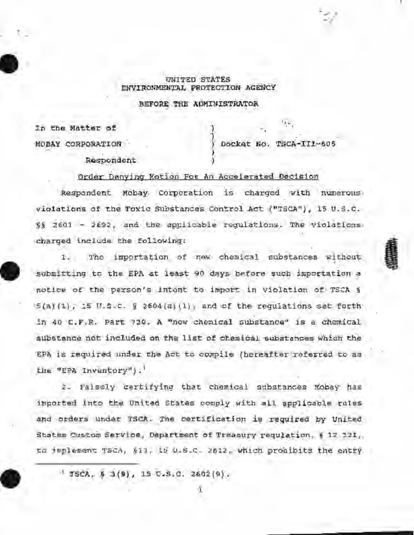## UNITED STATEs ENVIRONMENTAL PROTECTION AGENCY

BEFORE THE ADMINISTRATOR

) )

)

In the Matter of

Respondent

MOBAY CORPORATION ) DockGt No. TSCA-II!-6.05

FREE

Order Denying Motion Fot An Accelerated Decision

Respondent Mobay. Corporation is charged with numerous violations of the Toxic Substances Control Act ("TSCA"), 15 U.S.C. §§ 2601 - 2692, and the applicable regulations. The violations charged include the following:

The importation of new chemical substances without  $T_{\rm{tot}}$ ' submitting to the EPA at least 90 days before such importation a notice of the person's intent to import in violation of TSCA §  $S(A)(1)$ ,  $IS$   $N.S.C.$   $\S$  2604(d)(1), and cf the requistions set forth in 40 C.F.R. Part 720. A "new chemical substance" is a chemical substance not included on the list of chemical substances which the EPA is required under the Act to compile (hereafter referred to as the "EPA Inventory").'

2. Falsely certifying that chemical substances Mobay has imported into the United States comply with all applicable rules and orders under TSCA. The certification is required by United States Custom Service, Department of Treasury requistion, § 12.121, to implement TSCA, §13, 15 U.S.C. 2612, which prohibits the entry

 $'$  TSCA,  $\frac{1}{2}$   $3(9)$ , 15 U.S.C. 2602 $(9)$ .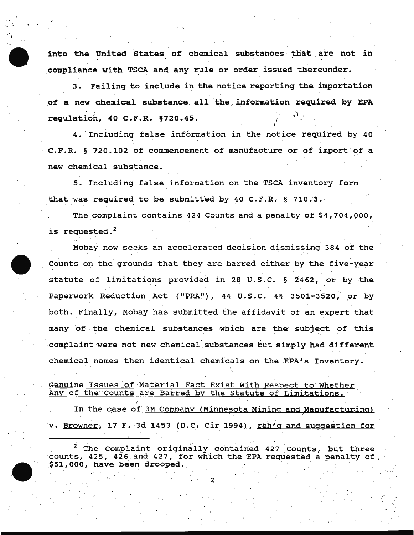into the United States of chemical substances that are not in compliance with TSCA and any rule or order issued thereunder.

. .

3. Failing to include in the notice reporting the importation. of a new chemical substance all the information required by EPA regulation, 40 c.F.R. §720.45. \'

' 4. Including false information in the notice required by 40 C.F.R. § 720.102 of commencement of manufacture or of import of a new chemical substance.

5. Including false information on the TSCA inventory form that was required to be submitted by 40 C.F.R. § 710.3.

The complaint contains 424 Counts and a penalty of  $$4,704,000$ , is requested. *z* 

Mobay now seeks an accelerated decision dismissing 384 of the Counts on the grounds that they are barred either by the five-year statute of limitations provided in 28 u.s.c. § 2462, or by the Paperwork Reduction Act ("PRA"),  $44$  U.S.C. §§ 3501-3520, or by both. Finally, Mobay has submitted the affidavit of an expert that many of the chemical substances which are the subject of this complaint were not new chemical· substances but simply had different chemical names then identical chemicals on the EPA's Inventory.

## Genuine Issues of Material Fact Exist With Respect to Whether Any of the Counts are Barred by the Statute of Limitations.

In the case of 3M Company (Minnesota Mining and Manufacturing) v. Browner, 17 F. 3d 1453 (D.C. Cir 1994), reh'g and suggestion for

<sup>2</sup> The Complaint originally contained 427 Counts, but three counts, 425, 426 and 427, for which the EPA requested a penalty of  $$51,000$ , have been drooped.

2

(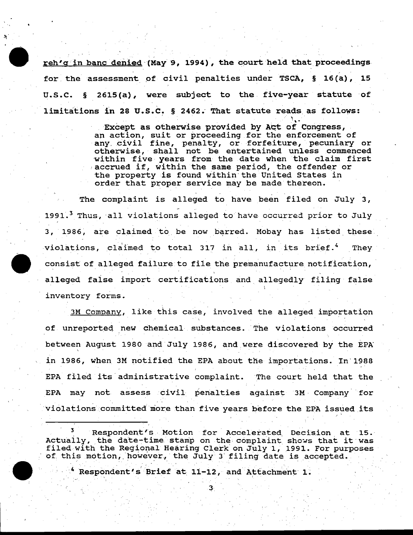reh'g in banc denied (May 9, 1994), the court held that proceedings for the assessment of civil penalties under TSCA,  $\S$  16(a), 15 u.s.c. § 2615(a), were subject to the five-year statute of limitations in 28 U.S.C. § 2462. That statute reads as follows:

> Except as otherwise provided by Act of Congress, an action, suit or proceeding for the enforcement of any civil fine, penalty, or forfeiture, pecuniary or otherwise, shall not be entertained unless commenced within five years from the date when the claim first .. accrued if, within the same period, the offender or the property is found within·the United States in order that proper service may be made thereon.

The complaint is alleged to have been filed on July 3, 1991.<sup>3</sup> Thus, all violations alleged to have occurred prior to July 3, 1986, are claimed to be now barred. Mobay has listed these violations, claimed to total 317 in all, in its brief.<sup>4</sup> They consist of alleged failure to file the premanufacture notification, alleged faise import certifications and allegedly filing false inventory forms.

3M Company, like this case, involved the alleged importation of unreported new chemical substances. The violations occurred between August 1980 and July 1986, and were discovered by the EPA in 1986, when 3M notified the EPA about the importations. In'1988 EPA filed its administrative complaint. The court held that the EPA may not assess civil penalties against 3M· Company for violations committed more than five years before the EPA issued its

3 Respondent's Motion for Accelerated Decision at 15. Actually, the date-time stamp on the complaint shows that it was filed with the Regional Hearing Clerk on July 1, 1991. For purposes of this motion, however, the July 3 filing date is accepted.

3·

· . Pespondent's Brief at 11-12, and Attachment 1.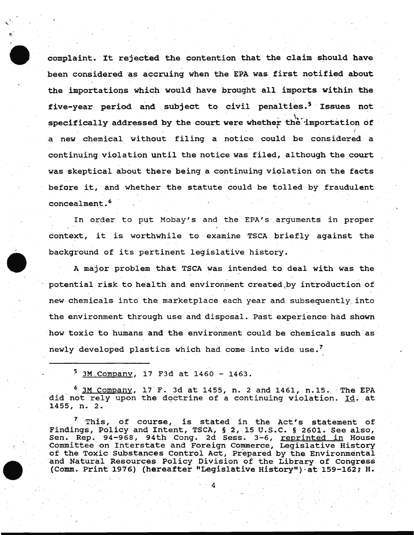complaint. It rejected the contention that the claim should have been considered as accruing when the EPA was first notified about the importations which would have brought all imports within the five-year period and subject to civil penalties.<sup>5</sup> Issues not . ' . ,, .. . specifically addressed by the court were whether the importation of a new chemical without filing a notice could be considered a continuing violation until the notice was filed, although the court was skeptical about there being a continuing violation on the facts before it, and whether the statute could be tolled by fraudulent  $concealment.$ <sup>6</sup>

In order to put Mobay's and the EPA's arguments in proper context, it is worthwhile to · examine TSCA briefly against the background of its pertinent legislative history.

A major problem that TSCA was intended to deal with was the potential risk to health and environment created by introduction of new chemicals into the marketplace each year and subsequently. into the environment through use and disposal. Past experience had shown howtoxic to humans and the environment could be chemicals such as newly developed plastics which had come into wide use.<sup>7</sup>

 $5$  3M Company, 17 F3d at 1460 - 1463.

 $^{\circ}$  3M Company, 17 F. 3d at 1455, n. 2 and 1461, n.15. The EPA did not rely upon the doctrine of a continuing violation. Id. at 1455; n. 2.

 $7$  This, of course, is stated in the Act's statement of Findings, Policy and Intent, TSCA, § 2, 15 U.S.C. § 2601. See also, rindings, rollo<sub>f</sub> and incent, roon, 3 2, 15 cisic: 3 2001: See also,<br>Sen. Rep. 94-968, 94th Cong. 2d Sess. 3-6, <u>reprinted in</u> House Committee on Interstate and Foreign Commerce, Legislative History of the Toxic Substances Control Act, Prepared by the Environmental and Natural Resources Policy Division of the Library of Congress (Comm. Print 1976) (hereafter "Legislative History") at 159-162; H.

4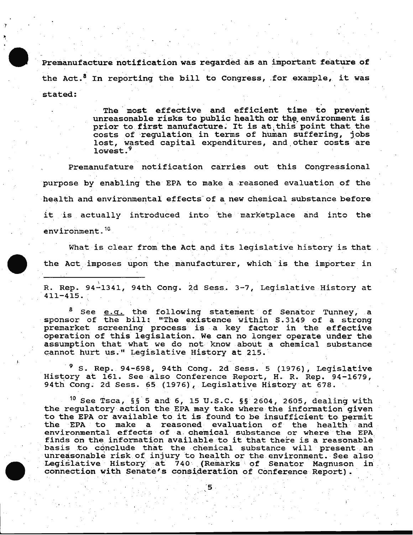Premanufacture notification was regarded as an important feature of the Act.<sup>8</sup> In reporting the bill to Congress, for example, it was stated:

> The most effective and efficient time to prevent unreasonable risks to public health or the environment is prior to first manufacture. It is at this point that the costs of regulation in terms of human suffering, jobs lost, wasted capital expenditures, and other costs are lowest. $<sup>9</sup>$ </sup>

Premanufature notification carries out this congressional purpose by enabling the EPA to make a reasoned evaluation of the health and environmental effects of a new chemical substance before it is actually introduced into the marketplace and into the environment. 10

What is clear from the Act and its legislative history is that the Act imposes upon the manufacturer, which is the importer in

R. Rep. 94-1341, 94th Cong. 2d Sess. 3-7, Legislative History at 411-415.

See e.g. the following statement of Senator Tunney, a sponsor of the bill: "The existence within S. 3149 of a strong premarket screening process is a key factor in the effective operation of this legislation. We can no longer operate under the assumption that what we do not. know about a chemical substance cannot hurt us." Legislative History at 215.

 $^9$  S. Rep. 94-698, 94th Cong. 2d Sess. 5 (1976), Legislative History at 161. See also Conference Report, H. R. Rep. 94-1679, 94th Cong. 2d Sess. 65 (1976), Legislative History at 678.

f.

<sup>10</sup> See Tsca, §§<sup>5</sup> and 6, 15 U.S.C. §§ 2604, 2605, dealing with the regulatory action the EPA may take where the information given to the EPA or available to it is found to be insufticient to. permit the EPA to make a reasoned evaluation of the health and environmental effects of a chemical substance or where the EPA<br>finds on the information available to it that there is a reasonable<br>basis to conclude that the chemical substance will present an basis to conclude that the chemical substance will present an unreasonable risk of injury to health or the environment. See also Legislative History at 740 (Remarks of Senator Magnuson in connection with Senate's consideration of Conference Report).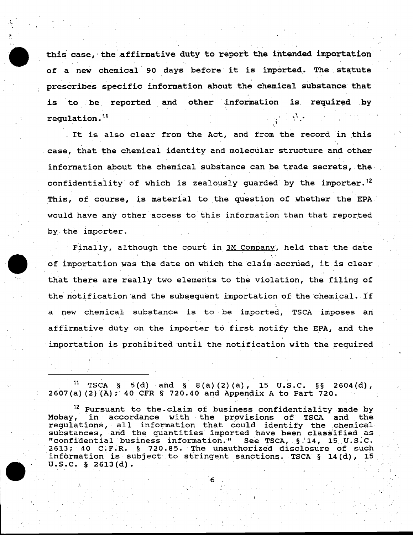this case, the affirmative duty to report the intended importation of a new chemical 90 days before it is imported. The statute prescribes specific information about the chemical substance that is to be reported and other information is required by regulation.<sup>11</sup>

It is also clear from the Act, and from the record in this case, that the chemical identity and molecular structure and other information about the chemical substance can be trade secrets, the· confidentiality of which is zealously guarded by the importer.<sup>12</sup> This, of course, is material to the question of whether the EPA would have any other access to this information than that reported by.the importer.

Finally, although the court in 3M Company, held that the date of importation was the date on which the claim accrued, it is clear that there are really two elements to tne violation, the filing of the notification and the subsequent importation of the chemical. If a new chemical substance is to be imported, TSCA imposes an affirmative duty on the importer to first notify the EPA, and the importation is prohibited until the notification with the required

TSCA § 5(d) and § 8(a)(2)(a), 15 U.S.C. §§ 2604(d),  $2607(a)$   $(2)$   $(A)$ ; 40 CFR § 720.40 and Appendix A to Part 720.

<sup>12</sup> Pursuant to the claim of business confidentiality made by Mobay, in accordance with the provisions of TSCA and the mobay, in accordance with the provisions of isca and the<br>regulations, all information that could identify the chemical substances, and the quantities imported have been classified as "confidential business information." See TSCA, § 14, 15 U.S.C.<br>2613; 40 C.F.R. § 720.85. The unauthorized disclosure of such 2613; 40 C.F.R. § 720.85. The unauthorized disclosure of such information is subject to stringent sanctions. TSCA § 14(d), 15 Information is subject to stringent sanctions. ISCA 9 14(d).

 $\lambda$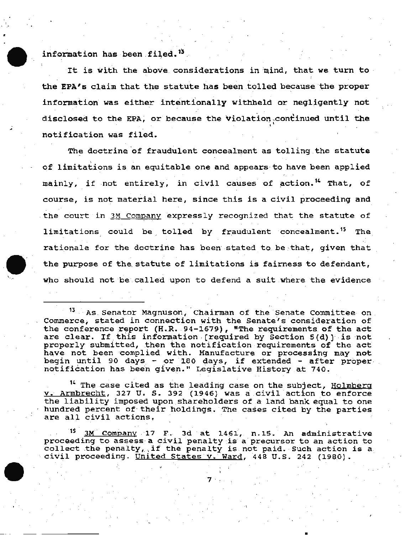information has been filed.<sup>13</sup>

It is with the above considerations in mind, that we turn to the EPA's claim that the statute has been tolled because the proper information was either intentionally withheld or negligently not· disclosed to the EPA, or because the violation, continued until the notification was filed.

The doctrine of fraudulent concealment as tolling the statute of limitations is an equitable one and appears to have been applied mainly, if not entirely, in civil causes of action.<sup>14</sup> That, of course, is not material here, since this is a civil proceeding and the court in 3M Company expressly recognized that the statute of limitations could be tolled by fraudulent concealment.<sup>15</sup> The rationale for the doctrine has been stated to be that, given that the purpose of the statute of limitations is fairness to defendant, who should not be called upon to defend a suit where the evidence

<sup>13</sup> As Senator Magnuson, Chairman of the Senate Committee on .<br>Commerce, stated in conne**ction with the Senate's consideration of** the conference report (H.R. 94-1679), "The requirements of the act are clear. If this information . [required by Section  $5(d)$ ] is not properly submitted, then the notification requirements of the act have not been complied with. Manufacture or processing may not begin until 90 days - or 180 days, if extended - after proper.<br>notification has been given." Legislative History at 740.

<sup>14</sup> The case cited as the leading case on the subject, Holmberg v. Armbrecht, 327 U. S. 392 (1946) was a civil action to enforce the liability imposed upon shareholders of a land bank equal to one the framility imposed upon shareholders of a fand bank equal to one<br>hundred percent of their holdings. The cases cited by the parties nundred percent or their noidings, <sup>.</sup><br>are all civil actions,

<sup>15</sup> 3M Company 17 F. 3d at 1461, n.15. An administrative proceeding to assess a civil penalty is a precursor to an action to collect the penalty, if the penalty is not paid. Such action is a. civil proceeding. United States v. Ward, 448 U.S. 242 (1980).

7 ·

•\

. '

•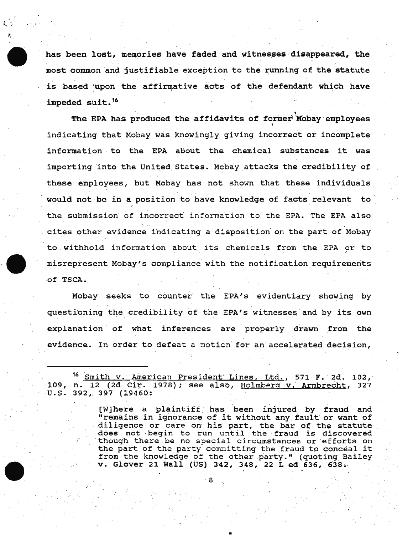has been lost, memories have faded and witnesses disappeared, the most common and justifiable exception to the running of the statute is based upon the affirmative acts of the defendant which have impeded suit.<sup>16</sup>

The EPA has produced the affidavits of former Mobay employees indicating that Mobay was knowingly giving incorrect or incomplete information to the EPA about the chemical substances it was importing into the United States. Mcbay attacks the credibility of these employees, but Mobay has not shown that these individuals would not be in a position to have knowledge of facts relevant to . . the submission of incorrect inforrnat:ion to the EPA. The EPA also cites other evidence indicating a disposition on the part of Mobay to withhold information about, its chemicals from the EPA or to misrepresent Mcbay's compliance with the notification requirements ·Of TSCA.

Mobay seeks to counter the EPA's evidentiary showing by questioning the credibility of the EPA's witnesses and by its own explanation of what inferences are properly drawn from the evidence. In order to defeat a motion for an accelerated decision,

16 Smith v. American President Lines, Ltd., 571 F. 2d. 102, 109, n. 12 (2d Cir. 1978); see also, Holmberg v. Armbrecht, 327<br>U.S. 392, 397 (19460:

8

[W]here a plaintiff has been injured by fraud and [W]nere a plaintiff has been injured by fraud and<br>"remains in ignorance of it without any fault or want of diligence or care on his part, the bar of the statute does not begin to run until the fraud is discovered though there be no special circumstances or efforts on the part of the party committing the fraud to conceal it from the knowledge of the other party." (quoting Bailey v. Glover 21 Wall (US) 342, 348, 22 L ed 636, 638.. ·

•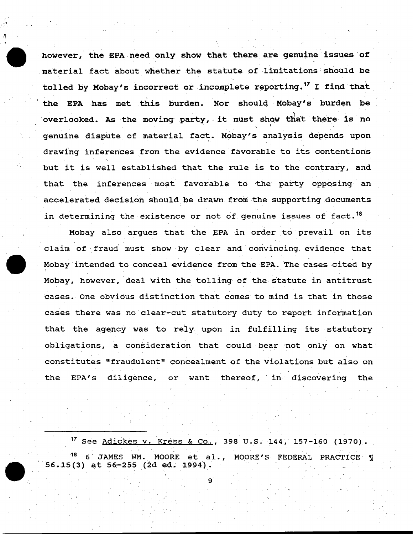however, the EPA need only show that there are genuine issues of material fact about whether the statute of limitations should be tolled by Mobay's incorrect or incomplete reporting.<sup>17</sup> I find that the EPA has met this burden. Nor should Mobay's burden be overlooked. As the moving party, it must show that there is no genuine dispute of material fact. Mobay's analysis depends upon drawing inferences from the evidence favorable to its contentions but it is well established that the rule is to the contrary, and that the inferences most favorable to the party opposing an accelerated decision should be drawn from the supporting documents in determining the existence or not of genuine issues of fact.  $^{18}$ 

Mcbay also .argues that the EPA ·in. order to prevail on its claim of- fraud· must show by clear and convincing. evidence that Mobay intended to conceal evidence from the EPA. The cases cited by Mobay, however, deal with the tolling of the statute in antitrust cases. One obvious distinction that comes to mind is that in those cases there was no clear-cut statutory duty to report information that the agency was to rely upon in fulfilling its statutory obligations, a consideration that could bear not only on what constitutes "fraudulent" concealment of the violations but also on the EPA's diligence, or want thereof, in discovering the

<sup>17</sup> See Adickes v. Kress & Co., 398 U.S. 144, 157-160 (1970). 6 JAMES WM. MOORE et al., MOORE'S FEDERAL PRACTICE I  $56.15(3)$  at  $56-255$  (2d ed. 1994).



.·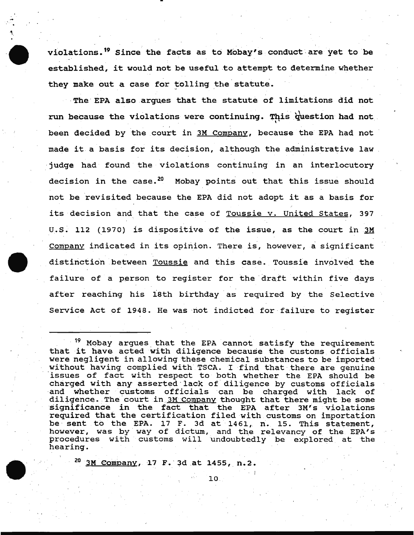violations.<sup>19</sup> Since the facts as to Mobay's conduct are yet to be established, it would not be useful to attempt to determine whether they make out a case for tolling the statute.

·· The· EPA also argues that the statute of limitations did not run because the violations were continuing. This question had not . been decided by the court in 3M Company, because the EPA had not made it a basis for its decision, although the administrative law ·judge had found the violations continuing in an interlocutory decision in the case.<sup>20</sup> Mobay points out that this issue should not be revisited because the EPA did not adopt it as a basis for its decision and that the case of Toussie v. United States, 397 u.s. 112 (1970) is dispositive of the issue, as the court in 3M Company indicated in its opinion. There is, however, a significant distinction between Toussie and this case. Toussie involved the failure of a person to register for the draft within five days after reaching his 18th birthday as required by the Selective Service Act of 1948. He was not indicted for failure to register

10 .

<sup>20</sup> 3M Company, 17 F. 3d at 1455, n.2.

<sup>&</sup>lt;sup>19</sup> Mobay argues that the EPA cannot satisfy the requirement that it have acted with diligence because the customs officials were negligent in allowing these chemical substances to be imported without having complied with TSCA. I find that there are genuine 'issues of fact with respect to both whether the EPA should be charged with any asserted lack of diligence by customs officials and whether customs officials can be charged with lack of diligence. The court in 3M Company thought that there might be some significance in the fact that the EPA after 3M's violations required that the certification filed with customs on importation be sent to the EPA. 17 F. 3d at 1461, n. 15. This statement, however, was by way of dictum, and the relevancy of the EPA's procedures with customs will Undoubtedly be explored at the hearing.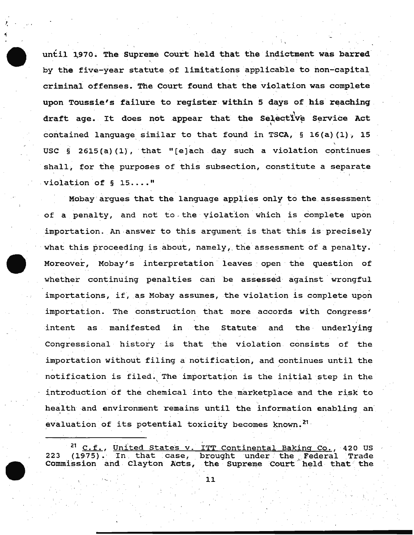until 1970. The Supreme Court held that the indictment was barred by the five-year statute of limitations applicable to non-capital criminal offenses. The Court found that the violation was complete upon Toussie's failure to register within 5 days of his reaching draft age. It does not appear that the Selective Service Act contained language similar to that found in TSCA,  $\S$  16(a)(1), 15 USC  $\S$  2615(a)(1), that "[e]ach day such a violation continues shall, for the purposes of this subsection, constitute a separate violation of § 15...."

'I

Mobay argues that the language applies only to the assessment of a penalty, and not to the violation which is complete upon importation. An ·answer to this argument is that this is precisely what this proceeding is about, namely, the assessment of a penalty. Moreover, Mobay's interpretation leaves open the question of whether continuing penalties can be assessed against wrongful importations, if, as Mobay assumes, the violation is complete upon importation. The construction that more accords with Congress' intent as manifested in the Statute and the underlying Congressional history is that the violation consists of the importation without filing a notification, and continues until the notification is filed. The importation is the initial step in the introduction of the chemical into the marketplace and the risk to health and environment remains until the information enabling an evaluation of its potential toxicity becomes known.<sup>21</sup>

<sup>21</sup> C.f., United States v. ITT Continental Baking Co., 420 US 223 (1975). In that case, brought under the Federal Trade commission and Clayton Acts, the Supreme Court held that the

.......... ' 11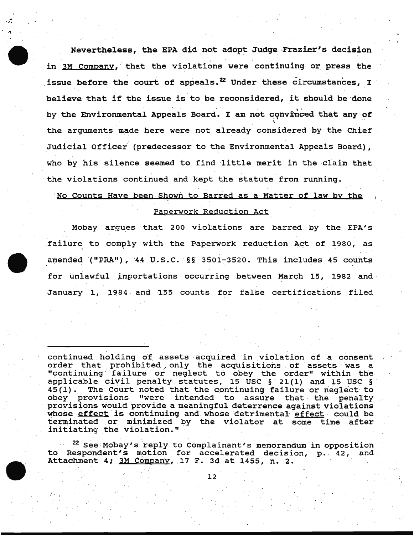Nevertheless, the EPA did not adopt Judge Frazier's decision in 3M Company, that the violations were continuing or press the issue before the court of appeals.<sup>22</sup> Under these circumstances, I believe that if the issue is to be reconsidered, it should be done by the Environmental Appeals Board. I am not convinced that any of the arguments made here were not already considered by the Chief Judicial Officer (predecessor to the Environmental Appeals Board) , who by his silence seemed to find little merit in the claim that the violations continued and kept the statute from running.

' No Counts Have been Shown to Barred as a Matter of law by the

## Paperwork Reduction Act

Mobay argues that 200 violations are barred by the EPA's failure to comply with the Paperwork reduction Act of 1980, as amended ("PRA"), '44 U.S.C. §§ 3501-3520. This includes 45 counts for unlawful importations occurring between March 15, 1982 and January 1, 1984 and 155 counts for false certifications filed

continued holding of assets acquired in violation of a consent order that prohibited only the acquisitions of assets was a "continuing failure or neglect to obey the order" within the applicable civil penalty statutes, 15 USC § 21(1) and 15 USC §  $45(1)$ . The Court noted that the continuing failure or neglect to The Court noted that the continuing failure or neglect to obey provisions "were intended to assure that the penalty provisions would provide a meaningful deterrence against violations whose effect is continuing and whose detrimental effect could be terminated or minimized by the violator at some time after initiating the violation."

 $22$  See Mobay's reply to Complainant's memorandum in opposition to Respondent's motion for accelerated decision, p. 42, and . Attachment 4; 3M Company, 17 F. 3d at 1455, n. 2.

12

 $\overline{f}$  is a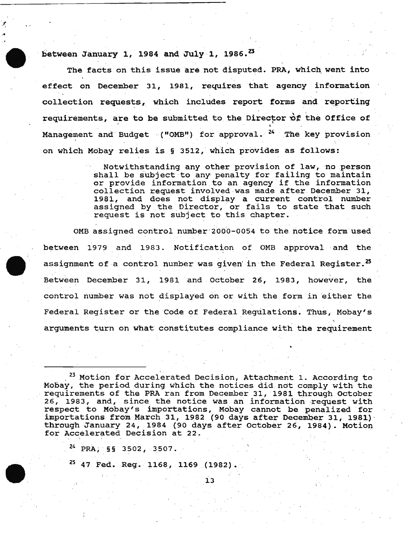between January 1, 1984 and July 1, 1986.<sup>23</sup>

A

The facts on this issue are not disputed. PRA, which went into effect on December 31, 1981, requires that agency information collection requests, which includes report forms and reporting requirements, are to be submitted to the Director of the Office of Management and Budget ("OMB") for approval. <sup>24</sup> The key provision on which Mobay relies is § 3512, which provides as follows:

> Notwithstanding any other provision of law, no person mocwremseanaing any sener provision of faw, no person<br>shall be subject to any penalty for failing to maintain shall be subject to any penaity for failing to maintain<br>or provide information to an agency if the information collection request involved was made after December 31, 1981, and does not display a current control number assigned by the Director, or fails to state that such request is not subject to this chapter.

OMB assigned control number 2000-0054 to the notice form used between 1979 and 1983. Notification of OMB approval and the assignment of a control number was given' in the Federal Register.<sup>25</sup> Between December 31, 1981 and October 26, 1983, however, the control number was not displayed on or with the form in either the Federal Register or the Code of Federal Regulations. Thus, Mobay's arguments turn on what constitutes compliance with the requirement

<sup>23</sup> Motion for Accelerated Decision, Attachment 1. According to *\**Mobay, the period during which the notices did not comply with the requirements of the PRA ran from December 31, 1981 through October 26, 1983, and, since the notice was an information request with respect to Mobay's importations, Mobay cannot be penalized for importations from March 31, 1982 (90 days after December 31, 1981)<br>through January 24, 1984 (90 days after October 26, 1984). Motion for Accelerated Decision at 22.

 $^{24}$  PRA, §§ 3502, 3507.

<sup>25</sup> 47 Fed. Reg. 1168, 1169 (1982).

. In the contract of the contract of  $\mathbf{13}$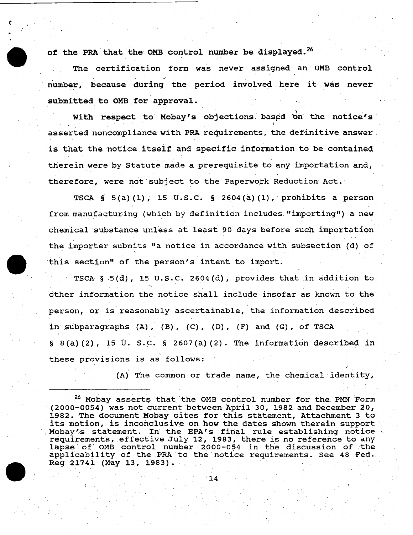of the PRA that the OMB control number be displayed.<sup>26</sup>

t:·

The certification form was never assigned an OMB control number, because during the period involved here it was never submitted to OMB for approval.

With respect to Mobay's objections based on the notice's asserted noncompliance with PRA requirements, the definitive answer, is that the notice itseif and specific information to be contained therein were by Statute made a prerequisite to any importation and, therefore, were not subject to the Paperwork Reduction Act.

TSCA  $\S$  5(a)(1), 15 U.S.C.  $\S$  2604(a)(1), prohibits a person from manufacturing (which by definition includes "importing") a new chemical'substance unless at least 90 days before such importation the importer submits "a notice in accordance with subsection (d) of this section" of the person's intent to import.

TSCA  $\S$  5(d), 15 U.S.C. 2604(d), provides that in addition to ' other information the notice shall include insofar as known to the person, or is reasonably ascertainable, the information described in subparagraphs  $(A)$ ,  $(B)$ ,  $(C)$ ,  $(D)$ ,  $(F)$  and  $(G)$ , of TSCA  $\S$  8(a)(2), 15 U. S.C. § 2607(a)(2). The information described in ., these provisions is as follows:

(A) The common or trade name, the chemical identity,

' 26 Mcbay asserts that the OMB control number for the PMN Form (2000-0054) was not current between April 30, 1982 and December 20, 1982. The document Mcbay cites for this statement, Attachment 3 to its motion, is inconclusive on how the dates shown therein support Mobay's statement. In the EPA's final rule establishing notice requirements, effective July 12, 1983, there is no reference to any lapse of OMB control number 2000-054 in the discussion of the applicability of the PRA to the notice requirements. See 48 Fed. Reg. 21741 (May 13, 1983).

14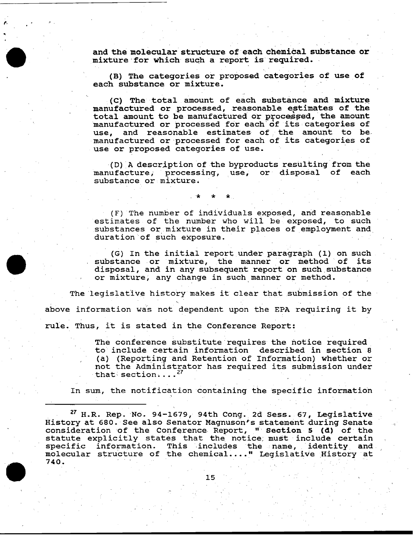and the molecular structure of each chemical substance or mixture for which such a report is required.

*r.* 

(B) The categories or proposed categories of use of each substance or mixture.

(C) The total amount of each substance and mixture manufactured or processed, reasonable estimates of the total amount to be manufactured or processed, the amount manufactured or processed for each of its categories of use, and reasonable estimates of the amount to be and reasonable estimates of the amount to bemanufactured or-processed for each of its categories of use or proposed categories of use.

(D) A description of the byproducts resulting from the unfacture, processing, use, or disposal of each manufacture, processing, use, or disposal substance or mixture.

(F) The number of individuals exposed, and reasonable estimates of the number who will be exposed, to such substances or mixture in their places of employment and duration of such exposure.

(G) In the initial report under paragraph (1) on such substance or mixture, the manner or method of its disposal, and in any subsequent report on such substance or mixture, any change in such manner or method.

The legislative history makes it clear that submission of the above information was not dependent upon the EPA requiring it by rule. Thus, it is stated in the Conference Report:

' \* \* \*

The conference substitute requires the notice required to include certain information described in section a (a) (Reporting and Retention of Information) whether or not the Administrator has required its submission under that section.... $^{27}$ 

In sum, the notification containing the specific information

 $27$  H.R. Rep. No. 94-1679, 94th Cong. 2d Sess. 67, Legislative History at 680. See also Senator Magnuson's statement during Senate consideration of the Conference Report, " Section 5 (d) of the statute explicitly states that the notice; must include certain statute expricitly states that the hotice mast include certain<br>specific information. This includes the name, identity and specific information. This includes the name, identity and<br>molecular structure of the chemical...." Legislative History at 140.<br>740.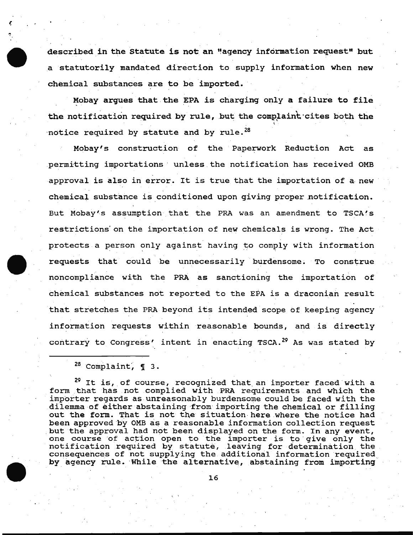described in the Statute is not an "agency information request" but a statutorily mandated direction to supply information when new chemical substances are to be imported.

Mobay argues that the EPA is charging only a failure to file the notification required by rule, but the complaint cites both the  $\cdot$ notice required by statute and by rule. $^{28}$ 

Mobay's construction of the Paperwork Reduction Act as permitting importations · unless . the notification has received OMB approval is also in error. It is true that the importation of a new chemical substance is conditioned upon giving proper notification. But Mobay's assumption that the PRA was an amendment to TSCA's restrictions'on the importation of new chemicals is wrong. The Act protects a person only against having to comply with information requests that could be unnecessarily burdensome. To construe noncompliance with the PRA as sanctioning the importation of chemical substances not reported to the EPA is a draconian result that stretches the PRA beyond its intended scope of keeping agency information requests within reasonable bounds, and is directly contrary to Congress' intent in enacting TSCA.<sup>29</sup> As was stated by

*r.* 

<sup>29</sup> It is, of course, recognized that an importer faced with a form that has not complied with PRA requirements and which the importer regards as unreasonably burdensome could be faced with the dilemma of either abstaining from importing the chemical or filling out the form. That is not the situation here where the notice had been approved by OMB as a reasonable information collection request but the approval had not been displayed on the form. In any event, but the approval had not been displayed on the form. In any event,<br>one course of action open to the importer is to give only the one course of action open to the importer is to give only the<br>notification required by statute, leaving for determination the consequences of not supplying the additional information required, by agency rule. While the alternative, abstaining from importing

 $28$  Complaint,  $\P$  3.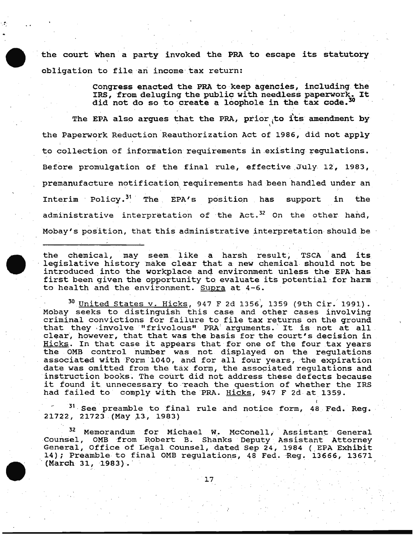the court when a party invoked the PRA to escape its statutory obligation to file an income tax return:

... . -•,

Congress enacted the PRA to keep agencies, including the Congress enacted the PKA to keep agencies, including the<br>IRS, from deluging the public with needless paperwork. It did not do so to create a loophole in the tax code.<sup>30</sup>

The EPA also argues that the PRA, prior to its amendment by the Paperwork Reduction Reauthorization Act of 1986, did not apply to collection of information requirements in existing regulations. Before promulgation of the final rule, effective  $July$  12, 1983, premanufacture notification requirements had been handled under an Interim Policy.<sup>31</sup> The EPA's position has support in the administrative interpretation of the Act.<sup>32</sup> On the other hand, Mcbay's position, that this administrative interpretation should be

the chemical, may seem like a harsh result, TSCA and its legislative history make clear that a new chemical should not be introduced into the workplace and environment unless the EPA has first been given the opportunity to evaluate its potential for harm to health and the environment. Supra at 4-6.

<sup>30</sup> United States v. Hicks, 947 F 2d 1356, 1359 (9th Cir. 1991). Mobay seeks to distinguish this case and other cases involving criminal convictions for failure to file tax returns on the ground that they ·involve "frivolous" PRA' arguments. ' It is not at all clear, however, that that was the basis for the court's decision in Hicks. In that case it appears that for one of the four tax years the OMB control number was not displayed on the regulations associated with Form 1040, and for all four years, the expiration date was omitted from the tax form, the associated regulations and instruction books. The court did not address these defects because it found it unnecessary to reach the question of whether the IRS had failed to comply with the PRA. Hicks, 947 F 2d at 1359.

<sup>31</sup> See preamble to final rule and notice form, 48 Fed. Reg. 21722, 21723 (May 13, 1983)

<sup>32</sup> Memorandum for Michael W. McConell, Assistant General Counsel, OMB from Robert B. Shanks Deputy Assistant Attorney General, Office of Legal Counsel, dated Sep 24, 1984 ( EPA Exhibit 14); Preamble to final OMB regulations, 48 Fed. Reg. 13666, 13671 .<br>(March 31, 1983).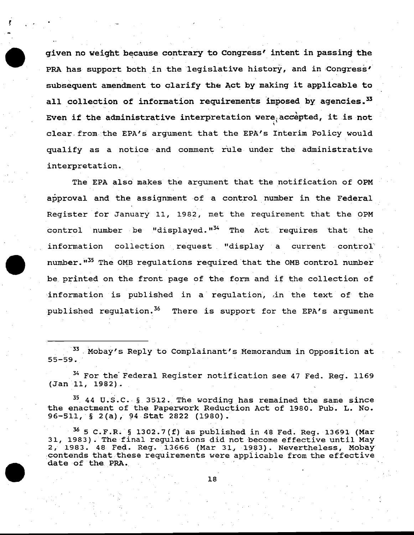given no weight because contrary to Congress' intent in passing the PRA has support both in the legislative history, and in Congress' subsequent amendment to clarify the Act by making it applicable to all collection of information requirements imposed by agencies.  $^{33}$ Even if the administrative interpretation were<sub>,</sub> accepted, it is not clear. from. the EPA's argument that the EPA's Interim Policy would qualify as a notice and comment rule under the administrative interpretation.

The EPA also makes the argument that the notification of OPM approval and the assignment of a control number in the Federal Register for January 11, 1982, met the requirement that the OPM control number be "displayed."<sup>34</sup> The Act requires that the information collection request "display a current control' numb<mark>er."<sup>35</sup> Th</mark>e OMB regulations required that the OMB control number be printed on the front page of the form and if the collection of information is published in a regulation, in the text of the published regulation.<sup>36</sup> There is support for the EPA's argument

<sup>33</sup> Mobay's Reply to Complainant's Memorandum in Opposition at 55-59.

 $34$  For the Federal Register notification see 47 Fed. Reg. 1169 (Jan 11, 1982) .

<sup>35</sup> 44 U.S.C. § 3512. The wording has remained the same since the enactment of the Paperwork Reduction Act of 1980. Pub. L. No. 96-511, § 2(a), 94 Stat 2822 (1980).

 $36$  5 C.F.R. § 1302.7(f) as published in 48 Fed. Reg. 13691 (Mar 31, 1983). The final regulations did not become effective until May 2, 1983. 48 Fed. Reg. 13666 (Mar 31, 1983). Nevertheless, Mobay .contends that these requirements were applicable from the effective date of the PRA.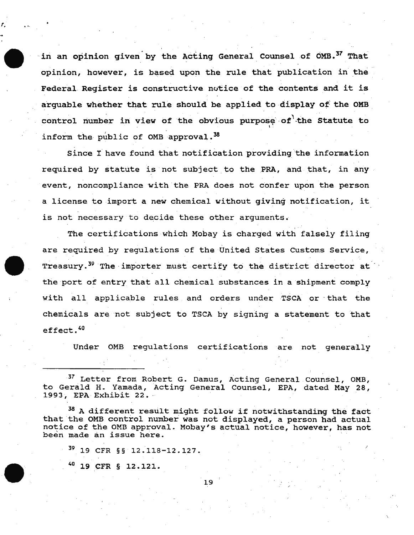in an opinion given by the Acting General Counsel of OMB.<sup>37</sup> That opinion, however, is based upon the rule that publication in the Federal Register is constructive notice of the contents and it is arquable whether that rule should be applied to display of the OMB control number in view of the obvious purpose of the Statute to inform the public of OMB approval.  $38$ 

since I have found that notification providing 'the information required by statute is not subject to the PRA, and that, in any event, noncompliance with the PRA does not confer upon the person a license to import a new chemical without giving notification, it is not necessary to decide these other arguments.

The certifications which Mobay is charged with falsely filing are required by regulations of the United States Customs Service, Treasury.<sup>39</sup> The importer must certify to the district director at the port of entry that all chemical substances in a shipment comply with all applicable rules and orders under TSCA or that the chemicals are not subject to TSCA by signing a statement to that effect. 40

Under OMB regulations certifications are not generally

/

<sup>37</sup> Letter from Robert G. Damus, Acting General Counsel, OMB, to Gerald H. Yamada, Acting General Counsel, EPA, dated May 28, 1993, EPA Exhibit 22.

<sup>38</sup> A different result might follow if notwithstanding the fact that the OMB control number was not displayed, a person had actual notice of the OMB approval. Mobay's actual notice, however, has not been made an issue here.

N 19 CFR §§ 12.118-12.127.

40 19 CFR § 12.121.

'·

19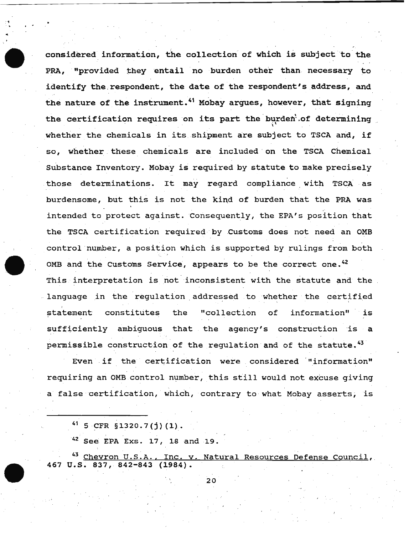considered information, the collection of which is subject to the PRA, "provided they entail no burden other than necessary to identify the respondent, the date of the respondent's address, and the nature of the instrument.<sup>41</sup> Mobay argues, however, that signing the certification requires on its part the burden of determining whether the chemicals in its shipment are subject to TSCA and, if so, whether these chemicals are included· on the TSCA Chemical Substance Inventory. Mobay is required by statute to make precisely those determinations. It may regard compliance with TSCA as burdensome, but this is not the kind of burden that the PRA was ,. intended to protect against. Consequently, the EPA's position that the TSCA certification required by Customs does not need an OMB control number, a position which is supported by rulings from both OMB and the Customs Service, appears to be the correct one.<sup>42</sup> This interpretation is not inconsistent with the statute and the language in the regulation addressed to whether the certified statement constitutes the "collection of information" is sufficiently ambiguous that the agency's construction is a permissible construction of the requlation and of the statute.  $43$ 

Even if the certification were considered "information" requiring an OMB control number, this still would not excuse giving a false certification, which, contrary to what Mobay asserts, is

 $41$  5 CFR  $$1320.7(j)(1)$ .

..

42 See EPA Exs. 17, 18 and 19.

<sup>43</sup> Chevron U.S.A., Inc. v. Natural Resources Defense Council, 467 u.s. 837, 842-843 (1984).

20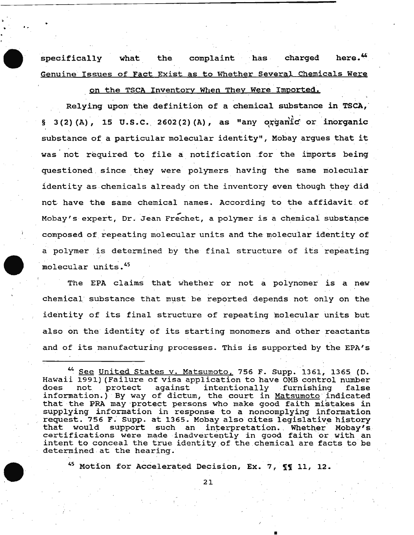specifically what the complaint has charged here.<sup>44</sup> Genuine Issues of Fact Exist as to Whether Several Chemicals Were

.<br>".

on the TSCA Inventory When They Were Imported.

Relying upon the definition of a chemical substance in TSCA, § 3(2)(A), 15 U.S.C. 2602(2)(A), as "any organic or inorganic substance of a particular molecular identity", Mcbay argues that it was not required to file a notification for the imports being questioned since they were polymers having the same molecular identity as chemicals already on the inventory even though they did not. have the same chemical names. According to the affidavit of Mobay's expert, Dr. Jean Frechet, a polymer is a chemical substance composed of repeating molecular units and the molecular identity of a polymer is determined by the final structure of its repeating molecular units.<sup>45</sup>

The EPA claims that whether or not a polynomer is a new chemical· substance that must be reported depends not only on the identity of its final structure of repeating molecular units but also on the identity of its starting monomers and other reactants and of its manufacturing processes. This is supported by the EPA's

<sup>45</sup> Motion for Accelerated Decision, Ex. 7, 11 11, 12.

21

•

<sup>44</sup> See United States v. Matsumoto, 756 F. Supp. 1361, 1365 (D. Hawaii 1991) (Failure of visa application to have OMB control number intentionally furnishing  $information.)$  By way of dictum, the court in Matsumoto indicated that the PRA may protect persons who make good faith mistakes in supplying information in response to a noncomplying information request. 756 F. Supp. at 1365. Mobay also cites legislative history that would support such an interpretation. Whether Mobay's certifications were made inadvertently in good faith or with an intent to conceal the true identity of the chemical are facts to be determined at the hearing.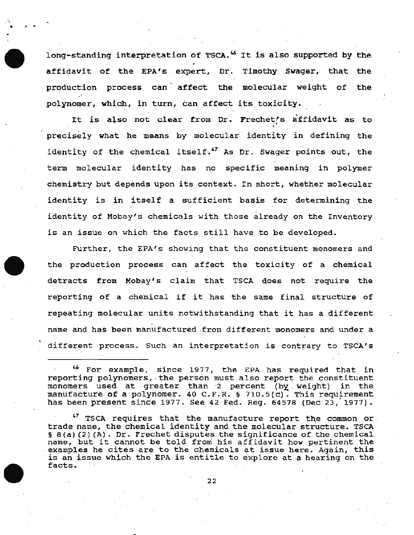long-standing interpretation of TSCA.<sup>46</sup> It is also supported by the affidavit of the EPA's expert, Dr. Timothy Swager, that the production process can affect the molecular weight of the polynomer,. which, in turn, can affect its toxicity.

*: '* 

. ~ ..

It is also not clear from Dr. Frechet's affidavit as to precisely what he means by molecular identity in defining the identity of the chemical itself.  $47$  As Dr. Swager points out, the term molecular identity . has no specific meaning *in* polymer chemistry but depends upon its context. In short; whether molecular identity is in itself a sufficient basis for determining the identity of Mobay's chemicals with those already on the Inventory is an issue on which the facts still have to be developed.

Further, the EPA's showing that the constituent monomers and the production process can affect the toxicity of a chemical detracts from Mcbay's claim that TSCA does not require the reporting of a chemical if it has the same final structure of repeating molecular units notwithstanding that it has a different name and has been manufactured from different monomers and under a different process. Such an interpretation is contrary to TSCA's

<sup>46</sup> For example, since 1977, the EPA has required that in reporting polynomers, the person must also report the constituent reporting porynomers, the person must arso report the construment<br>monomers used at greater than 2 percent (by weight) in the manufacture of a polynomer. 40 C.F.R. § 710.5(c). This requirement has been present since 1977. See 42 Fed. Reg. 64578 (Dec 23, 1977).

 $^{47}$  TSCA requires that the manufacture report the common or. trade name, the chemical identity and the molecular structure. TSCA § 8(a)(2)(A). Dr. Frechet disputes the significance of the chemical name, but it cannot be told from his affidavit how pertinent the examples he cites are to the chemicals at issue here. Again, this is an issue which the EPA is entitle to explore at a hearing on the .<br>facts.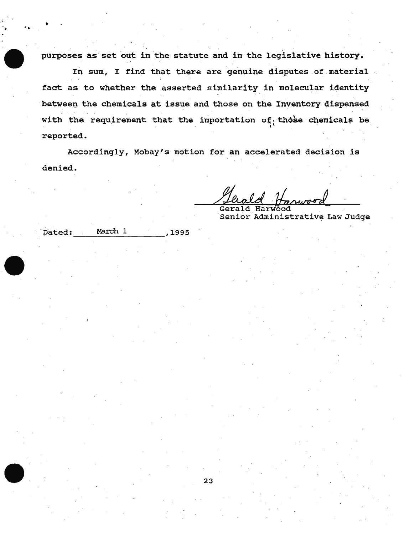purposes as set out in the statute and in the legislative history.

In sum, I find that there are genuine disputes of material fact as to whether the asserted similarity in molecular identity between the chemicals at issue and those on the Inventory dispensed with the requirement that the importation of those chemicals be reported.

Accordingly, Mobay's motion for an accelerated decision is denied.

Senior Administrative Law Judge

| Dated: | March 1 | ,1995 |
|--------|---------|-------|

 $\mathbf{r}$